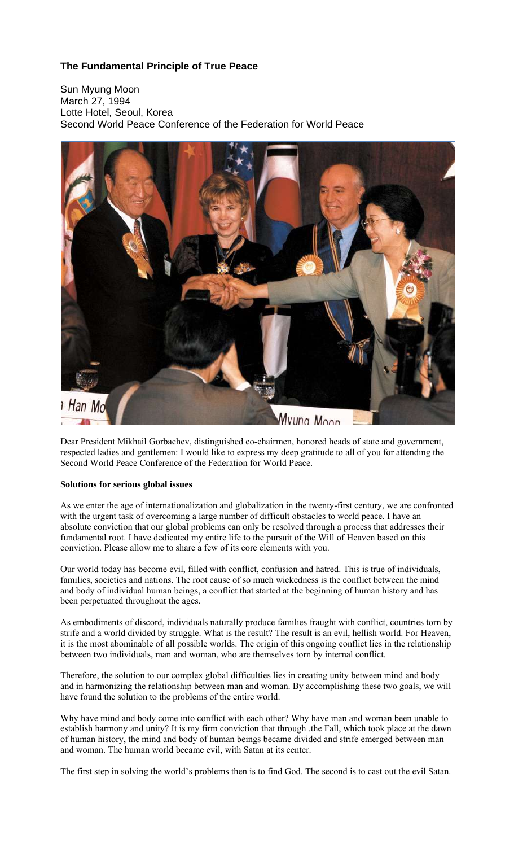# **The Fundamental Principle of True Peace**

Sun Myung Moon March 27, 1994 Lotte Hotel, Seoul, Korea Second World Peace Conference of the Federation for World Peace



Dear President Mikhail Gorbachev, distinguished co-chairmen, honored heads of state and government, respected ladies and gentlemen: I would like to express my deep gratitude to all of you for attending the Second World Peace Conference of the Federation for World Peace.

## **Solutions for serious global issues**

As we enter the age of internationalization and globalization in the twenty-first century, we are confronted with the urgent task of overcoming a large number of difficult obstacles to world peace. I have an absolute conviction that our global problems can only be resolved through a process that addresses their fundamental root. I have dedicated my entire life to the pursuit of the Will of Heaven based on this conviction. Please allow me to share a few of its core elements with you.

Our world today has become evil, filled with conflict, confusion and hatred. This is true of individuals, families, societies and nations. The root cause of so much wickedness is the conflict between the mind and body of individual human beings, a conflict that started at the beginning of human history and has been perpetuated throughout the ages.

As embodiments of discord, individuals naturally produce families fraught with conflict, countries torn by strife and a world divided by struggle. What is the result? The result is an evil, hellish world. For Heaven, it is the most abominable of all possible worlds. The origin of this ongoing conflict lies in the relationship between two individuals, man and woman, who are themselves torn by internal conflict.

Therefore, the solution to our complex global difficulties lies in creating unity between mind and body and in harmonizing the relationship between man and woman. By accomplishing these two goals, we will have found the solution to the problems of the entire world.

Why have mind and body come into conflict with each other? Why have man and woman been unable to establish harmony and unity? It is my firm conviction that through .the Fall, which took place at the dawn of human history, the mind and body of human beings became divided and strife emerged between man and woman. The human world became evil, with Satan at its center.

The first step in solving the world's problems then is to find God. The second is to cast out the evil Satan.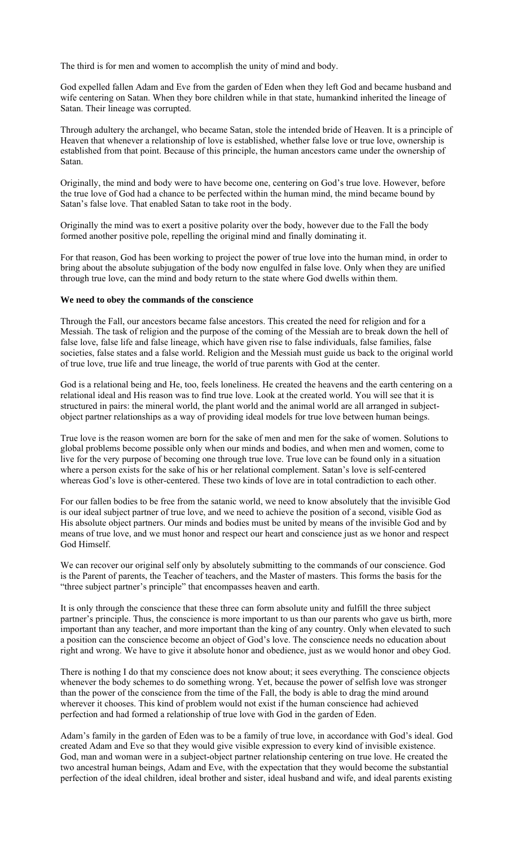The third is for men and women to accomplish the unity of mind and body.

God expelled fallen Adam and Eve from the garden of Eden when they left God and became husband and wife centering on Satan. When they bore children while in that state, humankind inherited the lineage of Satan. Their lineage was corrupted.

Through adultery the archangel, who became Satan, stole the intended bride of Heaven. It is a principle of Heaven that whenever a relationship of love is established, whether false love or true love, ownership is established from that point. Because of this principle, the human ancestors came under the ownership of Satan.

Originally, the mind and body were to have become one, centering on God's true love. However, before the true love of God had a chance to be perfected within the human mind, the mind became bound by Satan's false love. That enabled Satan to take root in the body.

Originally the mind was to exert a positive polarity over the body, however due to the Fall the body formed another positive pole, repelling the original mind and finally dominating it.

For that reason, God has been working to project the power of true love into the human mind, in order to bring about the absolute subjugation of the body now engulfed in false love. Only when they are unified through true love, can the mind and body return to the state where God dwells within them.

#### **We need to obey the commands of the conscience**

Through the Fall, our ancestors became false ancestors. This created the need for religion and for a Messiah. The task of religion and the purpose of the coming of the Messiah are to break down the hell of false love, false life and false lineage, which have given rise to false individuals, false families, false societies, false states and a false world. Religion and the Messiah must guide us back to the original world of true love, true life and true lineage, the world of true parents with God at the center.

God is a relational being and He, too, feels loneliness. He created the heavens and the earth centering on a relational ideal and His reason was to find true love. Look at the created world. You will see that it is structured in pairs: the mineral world, the plant world and the animal world are all arranged in subjectobject partner relationships as a way of providing ideal models for true love between human beings.

True love is the reason women are born for the sake of men and men for the sake of women. Solutions to global problems become possible only when our minds and bodies, and when men and women, come to live for the very purpose of becoming one through true love. True love can be found only in a situation where a person exists for the sake of his or her relational complement. Satan's love is self-centered whereas God's love is other-centered. These two kinds of love are in total contradiction to each other.

For our fallen bodies to be free from the satanic world, we need to know absolutely that the invisible God is our ideal subject partner of true love, and we need to achieve the position of a second, visible God as His absolute object partners. Our minds and bodies must be united by means of the invisible God and by means of true love, and we must honor and respect our heart and conscience just as we honor and respect God Himself.

We can recover our original self only by absolutely submitting to the commands of our conscience. God is the Parent of parents, the Teacher of teachers, and the Master of masters. This forms the basis for the "three subject partner's principle" that encompasses heaven and earth.

It is only through the conscience that these three can form absolute unity and fulfill the three subject partner's principle. Thus, the conscience is more important to us than our parents who gave us birth, more important than any teacher, and more important than the king of any country. Only when elevated to such a position can the conscience become an object of God's love. The conscience needs no education about right and wrong. We have to give it absolute honor and obedience, just as we would honor and obey God.

There is nothing I do that my conscience does not know about; it sees everything. The conscience objects whenever the body schemes to do something wrong. Yet, because the power of selfish love was stronger than the power of the conscience from the time of the Fall, the body is able to drag the mind around wherever it chooses. This kind of problem would not exist if the human conscience had achieved perfection and had formed a relationship of true love with God in the garden of Eden.

Adam's family in the garden of Eden was to be a family of true love, in accordance with God's ideal. God created Adam and Eve so that they would give visible expression to every kind of invisible existence. God, man and woman were in a subject-object partner relationship centering on true love. He created the two ancestral human beings, Adam and Eve, with the expectation that they would become the substantial perfection of the ideal children, ideal brother and sister, ideal husband and wife, and ideal parents existing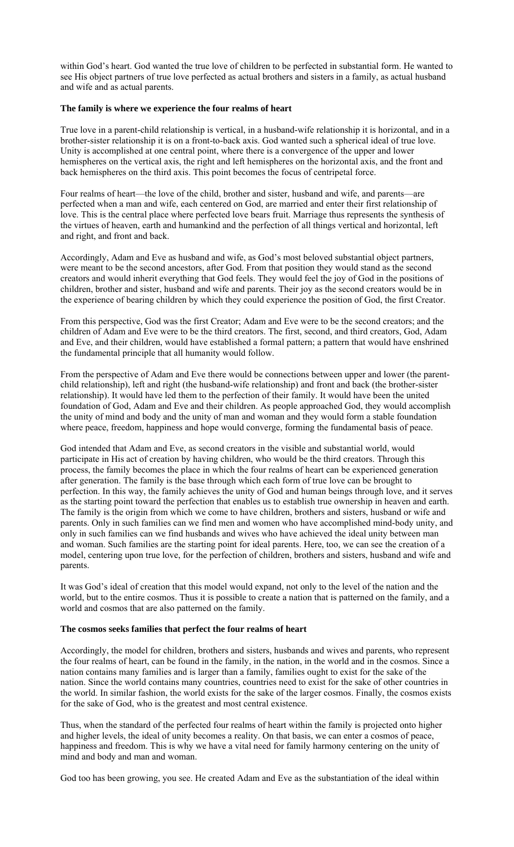within God's heart. God wanted the true love of children to be perfected in substantial form. He wanted to see His object partners of true love perfected as actual brothers and sisters in a family, as actual husband and wife and as actual parents.

### **The family is where we experience the four realms of heart**

True love in a parent-child relationship is vertical, in a husband-wife relationship it is horizontal, and in a brother-sister relationship it is on a front-to-back axis. God wanted such a spherical ideal of true love. Unity is accomplished at one central point, where there is a convergence of the upper and lower hemispheres on the vertical axis, the right and left hemispheres on the horizontal axis, and the front and back hemispheres on the third axis. This point becomes the focus of centripetal force.

Four realms of heart—the love of the child, brother and sister, husband and wife, and parents—are perfected when a man and wife, each centered on God, are married and enter their first relationship of love. This is the central place where perfected love bears fruit. Marriage thus represents the synthesis of the virtues of heaven, earth and humankind and the perfection of all things vertical and horizontal, left and right, and front and back.

Accordingly, Adam and Eve as husband and wife, as God's most beloved substantial object partners, were meant to be the second ancestors, after God. From that position they would stand as the second creators and would inherit everything that God feels. They would feel the joy of God in the positions of children, brother and sister, husband and wife and parents. Their joy as the second creators would be in the experience of bearing children by which they could experience the position of God, the first Creator.

From this perspective, God was the first Creator; Adam and Eve were to be the second creators; and the children of Adam and Eve were to be the third creators. The first, second, and third creators, God, Adam and Eve, and their children, would have established a formal pattern; a pattern that would have enshrined the fundamental principle that all humanity would follow.

From the perspective of Adam and Eve there would be connections between upper and lower (the parentchild relationship), left and right (the husband-wife relationship) and front and back (the brother-sister relationship). It would have led them to the perfection of their family. It would have been the united foundation of God, Adam and Eve and their children. As people approached God, they would accomplish the unity of mind and body and the unity of man and woman and they would form a stable foundation where peace, freedom, happiness and hope would converge, forming the fundamental basis of peace.

God intended that Adam and Eve, as second creators in the visible and substantial world, would participate in His act of creation by having children, who would be the third creators. Through this process, the family becomes the place in which the four realms of heart can be experienced generation after generation. The family is the base through which each form of true love can be brought to perfection. In this way, the family achieves the unity of God and human beings through love, and it serves as the starting point toward the perfection that enables us to establish true ownership in heaven and earth. The family is the origin from which we come to have children, brothers and sisters, husband or wife and parents. Only in such families can we find men and women who have accomplished mind-body unity, and only in such families can we find husbands and wives who have achieved the ideal unity between man and woman. Such families are the starting point for ideal parents. Here, too, we can see the creation of a model, centering upon true love, for the perfection of children, brothers and sisters, husband and wife and parents.

It was God's ideal of creation that this model would expand, not only to the level of the nation and the world, but to the entire cosmos. Thus it is possible to create a nation that is patterned on the family, and a world and cosmos that are also patterned on the family.

#### **The cosmos seeks families that perfect the four realms of heart**

Accordingly, the model for children, brothers and sisters, husbands and wives and parents, who represent the four realms of heart, can be found in the family, in the nation, in the world and in the cosmos. Since a nation contains many families and is larger than a family, families ought to exist for the sake of the nation. Since the world contains many countries, countries need to exist for the sake of other countries in the world. In similar fashion, the world exists for the sake of the larger cosmos. Finally, the cosmos exists for the sake of God, who is the greatest and most central existence.

Thus, when the standard of the perfected four realms of heart within the family is projected onto higher and higher levels, the ideal of unity becomes a reality. On that basis, we can enter a cosmos of peace, happiness and freedom. This is why we have a vital need for family harmony centering on the unity of mind and body and man and woman.

God too has been growing, you see. He created Adam and Eve as the substantiation of the ideal within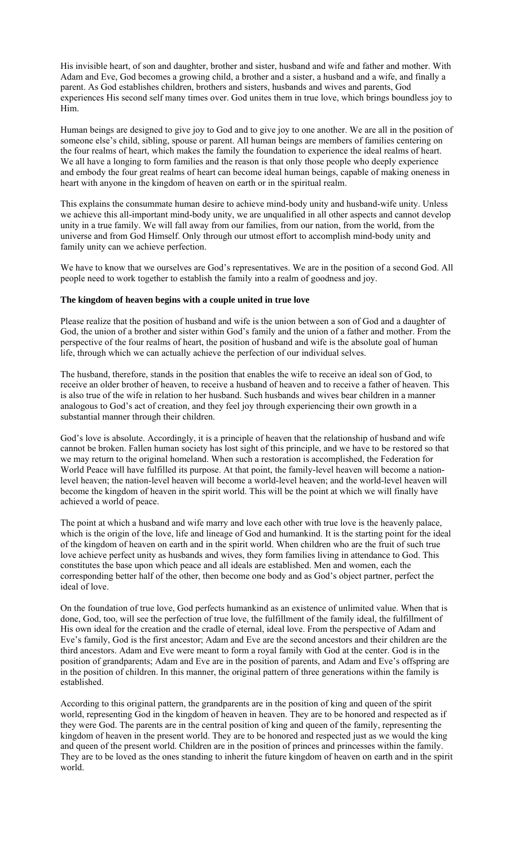His invisible heart, of son and daughter, brother and sister, husband and wife and father and mother. With Adam and Eve, God becomes a growing child, a brother and a sister, a husband and a wife, and finally a parent. As God establishes children, brothers and sisters, husbands and wives and parents, God experiences His second self many times over. God unites them in true love, which brings boundless joy to Him.

Human beings are designed to give joy to God and to give joy to one another. We are all in the position of someone else's child, sibling, spouse or parent. All human beings are members of families centering on the four realms of heart, which makes the family the foundation to experience the ideal realms of heart. We all have a longing to form families and the reason is that only those people who deeply experience and embody the four great realms of heart can become ideal human beings, capable of making oneness in heart with anyone in the kingdom of heaven on earth or in the spiritual realm.

This explains the consummate human desire to achieve mind-body unity and husband-wife unity. Unless we achieve this all-important mind-body unity, we are unqualified in all other aspects and cannot develop unity in a true family. We will fall away from our families, from our nation, from the world, from the universe and from God Himself. Only through our utmost effort to accomplish mind-body unity and family unity can we achieve perfection.

We have to know that we ourselves are God's representatives. We are in the position of a second God. All people need to work together to establish the family into a realm of goodness and joy.

### **The kingdom of heaven begins with a couple united in true love**

Please realize that the position of husband and wife is the union between a son of God and a daughter of God, the union of a brother and sister within God's family and the union of a father and mother. From the perspective of the four realms of heart, the position of husband and wife is the absolute goal of human life, through which we can actually achieve the perfection of our individual selves.

The husband, therefore, stands in the position that enables the wife to receive an ideal son of God, to receive an older brother of heaven, to receive a husband of heaven and to receive a father of heaven. This is also true of the wife in relation to her husband. Such husbands and wives bear children in a manner analogous to God's act of creation, and they feel joy through experiencing their own growth in a substantial manner through their children.

God's love is absolute. Accordingly, it is a principle of heaven that the relationship of husband and wife cannot be broken. Fallen human society has lost sight of this principle, and we have to be restored so that we may return to the original homeland. When such a restoration is accomplished, the Federation for World Peace will have fulfilled its purpose. At that point, the family-level heaven will become a nationlevel heaven; the nation-level heaven will become a world-level heaven; and the world-level heaven will become the kingdom of heaven in the spirit world. This will be the point at which we will finally have achieved a world of peace.

The point at which a husband and wife marry and love each other with true love is the heavenly palace, which is the origin of the love, life and lineage of God and humankind. It is the starting point for the ideal of the kingdom of heaven on earth and in the spirit world. When children who are the fruit of such true love achieve perfect unity as husbands and wives, they form families living in attendance to God. This constitutes the base upon which peace and all ideals are established. Men and women, each the corresponding better half of the other, then become one body and as God's object partner, perfect the ideal of love.

On the foundation of true love, God perfects humankind as an existence of unlimited value. When that is done, God, too, will see the perfection of true love, the fulfillment of the family ideal, the fulfillment of His own ideal for the creation and the cradle of eternal, ideal love. From the perspective of Adam and Eve's family, God is the first ancestor; Adam and Eve are the second ancestors and their children are the third ancestors. Adam and Eve were meant to form a royal family with God at the center. God is in the position of grandparents; Adam and Eve are in the position of parents, and Adam and Eve's offspring are in the position of children. In this manner, the original pattern of three generations within the family is established.

According to this original pattern, the grandparents are in the position of king and queen of the spirit world, representing God in the kingdom of heaven in heaven. They are to be honored and respected as if they were God. The parents are in the central position of king and queen of the family, representing the kingdom of heaven in the present world. They are to be honored and respected just as we would the king and queen of the present world. Children are in the position of princes and princesses within the family. They are to be loved as the ones standing to inherit the future kingdom of heaven on earth and in the spirit world.